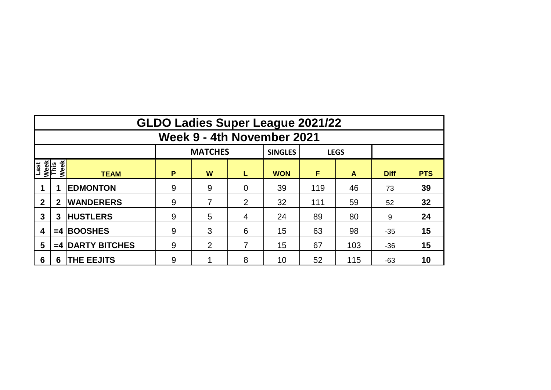|                                            | <b>GLDO Ladies Super League 2021/22</b>         |                      |             |   |                |            |     |     |             |            |  |  |  |  |  |
|--------------------------------------------|-------------------------------------------------|----------------------|-------------|---|----------------|------------|-----|-----|-------------|------------|--|--|--|--|--|
|                                            | Week 9 - 4th November 2021                      |                      |             |   |                |            |     |     |             |            |  |  |  |  |  |
|                                            | <b>MATCHES</b><br><b>SINGLES</b><br><b>LEGS</b> |                      |             |   |                |            |     |     |             |            |  |  |  |  |  |
| <b>Last</b><br>Week<br>This<br><b>Week</b> |                                                 | <b>TEAM</b>          | P<br>W<br>L |   |                | <b>WON</b> | F   | A   | <b>Diff</b> | <b>PTS</b> |  |  |  |  |  |
|                                            |                                                 | <b>EDMONTON</b>      | 9           | 9 | $\overline{0}$ | 39         | 119 | 46  | 73          | 39         |  |  |  |  |  |
| $\overline{2}$                             | $\mathbf 2$                                     | <b>WANDERERS</b>     | 9           |   | $\overline{2}$ | 32         | 111 | 59  | 52          | 32         |  |  |  |  |  |
| 3                                          | 3                                               | <b>HUSTLERS</b>      | 9           | 5 | 4              | 24         | 89  | 80  | 9           | 24         |  |  |  |  |  |
| 4                                          | $=4$                                            | <b>BOOSHES</b>       | 9           | 3 | 6              | 15         | 63  | 98  | $-35$       | 15         |  |  |  |  |  |
| 5                                          | $=4$                                            | <b>DARTY BITCHES</b> | 9           | 2 | 7              | 15         | 67  | 103 | $-36$       | 15         |  |  |  |  |  |
| 6                                          | 6                                               | <b>THE EEJITS</b>    | 9           |   | 8              | 10         | 52  | 115 | -63         | 10         |  |  |  |  |  |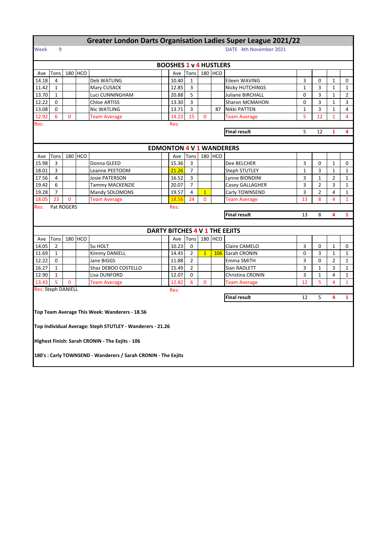## **Greater London Darts Organisation Ladies Super League 2021/22**

## Week 9 DATE 4th November 2021

|                                     | <b>BOOSHES 1 v 4 HUSTLERS</b>                       |             |         |                                                                |  |                                 |                |                |         |                                |                |                |                |                |
|-------------------------------------|-----------------------------------------------------|-------------|---------|----------------------------------------------------------------|--|---------------------------------|----------------|----------------|---------|--------------------------------|----------------|----------------|----------------|----------------|
| Ave                                 | Tons                                                |             | 180 HCO |                                                                |  | Ave                             | Tons           |                | 180 HCO |                                |                |                |                |                |
| 14.18                               | 4                                                   |             |         | Deb WATLING                                                    |  | 10.40                           | 1              |                |         | Eileen WAVING                  | 3              | 0              | 1              | 0              |
| 11.42                               | $\mathbf{1}$                                        |             |         | Mary CUSACK                                                    |  | 12.85                           | 3              |                |         | <b>Nicky HUTCHINGS</b>         | $\mathbf{1}$   | 3              | $\mathbf{1}$   | $\mathbf{1}$   |
| 13.70                               | 1                                                   |             |         | Luci CUNNINGHAM                                                |  | 20.88                           | 5              |                |         | Juliane BIRCHALL               | 0              | 3              | $\mathbf{1}$   | $\overline{2}$ |
| 12.22                               | $\Omega$                                            |             |         | <b>Chloe ARTISS</b>                                            |  | 13.30                           | 3              |                |         | Sharon MCMAHON                 | 0              | 3              | $\mathbf{1}$   | 3              |
| 13.08                               | 0                                                   |             |         | Nic WATLING                                                    |  | 13.71                           | 3              |                | 87      | Nikki PATTEN                   | $\mathbf{1}$   | 3              | $\mathbf{1}$   | 4              |
| 12.92                               | 6                                                   | 0           |         | <b>Team Average</b>                                            |  | 14.23                           | 15             | $\mathbf{0}$   |         | <b>Team Average</b>            | 5              | 12             | $\mathbf{1}$   | 4              |
| Res:                                | Res:                                                |             |         |                                                                |  |                                 |                |                |         |                                |                |                |                |                |
|                                     | <b>Final result</b><br>5<br>12<br>$\mathbf{1}$<br>4 |             |         |                                                                |  |                                 |                |                |         |                                |                |                |                |                |
|                                     |                                                     |             |         |                                                                |  |                                 |                |                |         |                                |                |                |                |                |
|                                     |                                                     |             |         |                                                                |  | <b>EDMONTON 4 V 1 WANDERERS</b> |                |                |         |                                |                |                |                |                |
| Ave                                 | Tons                                                |             | 180 HCO |                                                                |  | Ave                             | Tons           |                | 180 HCO |                                |                |                |                |                |
| 15.98                               | 3                                                   |             |         | Donna GLEED                                                    |  | 15.36                           | 3              |                |         | Dee BELCHER                    | 3              | 0              | $\mathbf{1}$   | 0              |
| 18.01                               | 3                                                   |             |         | Leanne PEETOOM                                                 |  | 21.26                           | $\overline{7}$ |                |         | <b>Steph STUTLEY</b>           | $\mathbf{1}$   | 3              | $\mathbf{1}$   | $\mathbf{1}$   |
| 17.56                               | $\overline{4}$                                      |             |         | <b>Josie PATERSON</b>                                          |  | 16.52                           | 3              |                |         | Lynne BIONDINI                 | 3              | $\mathbf{1}$   | $\overline{2}$ | $\mathbf{1}$   |
| 19.42                               | 6                                                   |             |         | Tammy MACKENZIE                                                |  | 20.07                           | $\overline{7}$ |                |         | Casey GALLAGHER                | 3              | $\overline{2}$ | 3              | 1              |
| 19.28                               | $\overline{7}$                                      |             |         | Mandy SOLOMONS                                                 |  | 19.57                           | 4              | $\overline{1}$ |         | Carly TOWNSEND                 | 3              | $\overline{2}$ | $\overline{4}$ | $\mathbf{1}$   |
| 18.05                               | 23                                                  | $\mathbf 0$ |         | <b>Team Average</b>                                            |  | 18.56                           | 24             | $\mathbf{0}$   |         | <b>Team Average</b>            | 13             | 8              | 4              | $\mathbf{1}$   |
| Res:                                | Pat ROGERS<br>Res:                                  |             |         |                                                                |  |                                 |                |                |         |                                |                |                |                |                |
| <b>Final result</b><br>13<br>8<br>4 |                                                     |             |         |                                                                |  |                                 |                | $\mathbf{1}$   |         |                                |                |                |                |                |
|                                     |                                                     |             |         |                                                                |  |                                 |                |                |         |                                |                |                |                |                |
|                                     |                                                     |             |         |                                                                |  |                                 |                |                |         |                                |                |                |                |                |
|                                     |                                                     |             |         |                                                                |  |                                 |                |                |         | DARTY BITCHES 4 V 1 THE EEJITS |                |                |                |                |
| Ave                                 | Tons                                                |             | 180 HCO |                                                                |  | Ave                             | Tons           |                | 180 HCO |                                |                |                |                |                |
| 14.05                               | $\overline{2}$                                      |             |         | Su HOLT                                                        |  | 10.23                           | 0              |                |         | Claire CAMELO                  | 3              | 0              | $\mathbf{1}$   | 0              |
| 11.69                               | 1                                                   |             |         | Kimmy DANIELL                                                  |  | 14.45                           | $\overline{2}$ | 1              |         | 106 Sarah CRONIN               | 0              | 3              | $\mathbf{1}$   | $\mathbf{1}$   |
| 12.22                               | $\Omega$                                            |             |         | Jane BIGGS                                                     |  | 11.88                           | $\overline{2}$ |                |         | Emma SMITH                     | 3              | $\Omega$       | 2              | 1              |
| 16.27                               | $\mathbf{1}$                                        |             |         | Shaz DEBOO COSTELLO                                            |  | 15.49                           | $\overline{2}$ |                |         | Sian RADLETT                   | $\overline{3}$ | $\mathbf{1}$   | 3              | $\mathbf{1}$   |
| 12.90                               | $\mathbf{1}$                                        |             |         | Lisa DUNFORD                                                   |  | 12.07                           | 0              |                |         | Christina CRONIN               | 3              | $\mathbf{1}$   | 4              | $\mathbf{1}$   |
| 13.43                               | 5                                                   | 0           |         | <b>Team Average</b>                                            |  | 12.82                           | 6              | $\mathbf{0}$   |         | <b>Team Average</b>            | 12             | 5              | 4              | $\mathbf{1}$   |
| <b>Res: Steph DANIELL</b>           |                                                     |             |         |                                                                |  | Res:                            |                |                |         |                                |                |                |                |                |
|                                     |                                                     |             |         |                                                                |  |                                 |                |                |         | <b>Final result</b>            | 12             | 5              | 4              | $\mathbf{1}$   |
|                                     |                                                     |             |         |                                                                |  |                                 |                |                |         |                                |                |                |                |                |
|                                     |                                                     |             |         | Top Team Average This Week: Wanderers - 18.56                  |  |                                 |                |                |         |                                |                |                |                |                |
|                                     |                                                     |             |         |                                                                |  |                                 |                |                |         |                                |                |                |                |                |
|                                     |                                                     |             |         | Top Individual Average: Steph STUTLEY - Wanderers - 21.26      |  |                                 |                |                |         |                                |                |                |                |                |
|                                     |                                                     |             |         |                                                                |  |                                 |                |                |         |                                |                |                |                |                |
|                                     |                                                     |             |         | Highest Finish: Sarah CRONIN - The Eejits - 106                |  |                                 |                |                |         |                                |                |                |                |                |
|                                     |                                                     |             |         |                                                                |  |                                 |                |                |         |                                |                |                |                |                |
|                                     |                                                     |             |         | 180's : Carly TOWNSEND - Wanderers / Sarah CRONIN - The Eejits |  |                                 |                |                |         |                                |                |                |                |                |